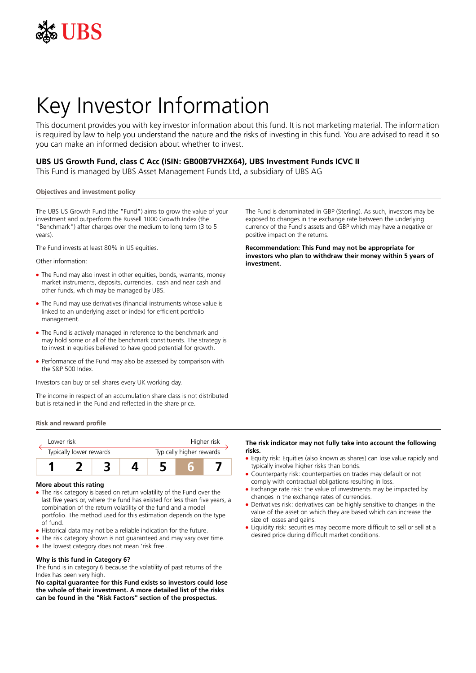

# Key Investor Information

This document provides you with key investor information about this fund. It is not marketing material. The information is required by law to help you understand the nature and the risks of investing in this fund. You are advised to read it so you can make an informed decision about whether to invest.

## **UBS US Growth Fund, class C Acc (ISIN: GB00B7VHZX64), UBS Investment Funds ICVC II**

This Fund is managed by UBS Asset Management Funds Ltd, a subsidiary of UBS AG

## **Objectives and investment policy**

The UBS US Growth Fund (the "Fund") aims to grow the value of your investment and outperform the Russell 1000 Growth Index (the "Benchmark") after charges over the medium to long term (3 to 5 years).

The Fund invests at least 80% in US equities.

Other information:

- The Fund may also invest in other equities, bonds, warrants, money market instruments, deposits, currencies, cash and near cash and other funds, which may be managed by UBS.
- The Fund may use derivatives (financial instruments whose value is linked to an underlying asset or index) for efficient portfolio management.
- The Fund is actively managed in reference to the benchmark and may hold some or all of the benchmark constituents. The strategy is to invest in equities believed to have good potential for growth.
- Performance of the Fund may also be assessed by comparison with the S&P 500 Index.

Investors can buy or sell shares every UK working day.

The income in respect of an accumulation share class is not distributed but is retained in the Fund and reflected in the share price.

**Risk and reward profile**

| I ower risk             |  |  |                          | Higher risk |  |  |
|-------------------------|--|--|--------------------------|-------------|--|--|
| Typically lower rewards |  |  | Typically higher rewards |             |  |  |
|                         |  |  |                          |             |  |  |

## **More about this rating**

- The risk category is based on return volatility of the Fund over the last five years or, where the fund has existed for less than five years, a combination of the return volatility of the fund and a model portfolio. The method used for this estimation depends on the type of fund.
- Historical data may not be a reliable indication for the future.
- The risk category shown is not guaranteed and may vary over time.
- The lowest category does not mean 'risk free'.

## **Why is this fund in Category 6?**

The fund is in category 6 because the volatility of past returns of the Index has been very high.

**No capital guarantee for this Fund exists so investors could lose the whole of their investment. A more detailed list of the risks can be found in the "Risk Factors" section of the prospectus.**

The Fund is denominated in GBP (Sterling). As such, investors may be exposed to changes in the exchange rate between the underlying currency of the Fund's assets and GBP which may have a negative or positive impact on the returns.

**Recommendation: This Fund may not be appropriate for investors who plan to withdraw their money within 5 years of investment.**

## **The risk indicator may not fully take into account the following risks.**

- Equity risk: Equities (also known as shares) can lose value rapidly and typically involve higher risks than bonds.
- 5 Counterparty risk: counterparties on trades may default or not comply with contractual obligations resulting in loss.
- Exchange rate risk: the value of investments may be impacted by changes in the exchange rates of currencies.
- Derivatives risk: derivatives can be highly sensitive to changes in the value of the asset on which they are based which can increase the size of losses and gains.
- Liquidity risk: securities may become more difficult to sell or sell at a desired price during difficult market conditions.